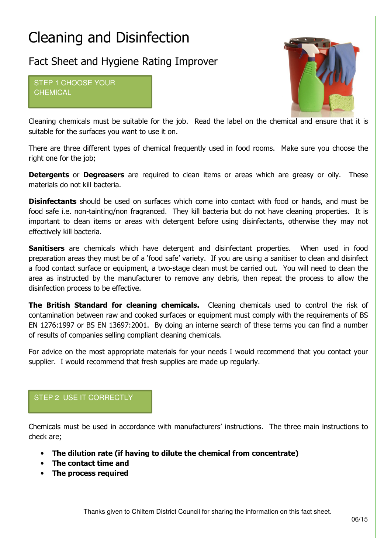# Cleaning and Disinfection

# Fact Sheet and Hygiene Rating Improver

STEP 1 CHOOSE YOUR **CHEMICAL** 



Cleaning chemicals must be suitable for the job. Read the label on the chemical and ensure that it is suitable for the surfaces you want to use it on.

There are three different types of chemical frequently used in food rooms. Make sure you choose the right one for the job;

**Detergents** or **Degreasers** are required to clean items or areas which are greasy or oily. These materials do not kill bacteria.

**Disinfectants** should be used on surfaces which come into contact with food or hands, and must be food safe i.e. non-tainting/non fragranced. They kill bacteria but do not have cleaning properties. It is important to clean items or areas with detergent before using disinfectants, otherwise they may not effectively kill bacteria.

Sanitisers are chemicals which have detergent and disinfectant properties. When used in food preparation areas they must be of a 'food safe' variety. If you are using a sanitiser to clean and disinfect a food contact surface or equipment, a two-stage clean must be carried out. You will need to clean the area as instructed by the manufacturer to remove any debris, then repeat the process to allow the disinfection process to be effective.

The British Standard for cleaning chemicals. Cleaning chemicals used to control the risk of contamination between raw and cooked surfaces or equipment must comply with the requirements of BS EN 1276:1997 or BS EN 13697:2001. By doing an interne search of these terms you can find a number of results of companies selling compliant cleaning chemicals.

For advice on the most appropriate materials for your needs I would recommend that you contact your supplier. I would recommend that fresh supplies are made up regularly.

## STEP 2 USE IT CORRECTLY

Chemicals must be used in accordance with manufacturers' instructions. The three main instructions to check are;

- The dilution rate (if having to dilute the chemical from concentrate)
- The contact time and
- The process required

Thanks given to Chiltern District Council for sharing the information on this fact sheet.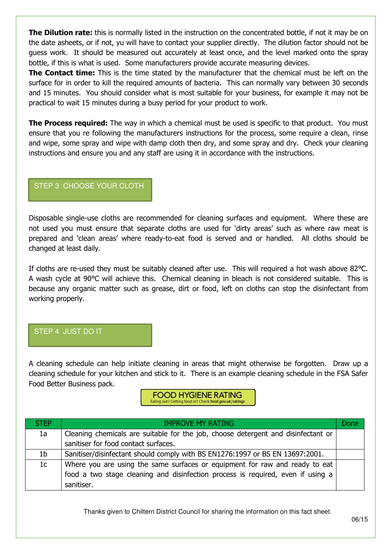**The Dilution rate:** this is normally listed in the instruction on the concentrated bottle, if not it may be on the date asheets, or if not, yu will have to contact your supplier directly. The dilution factor should not be guess work. It should be measured out accurately at least once, and the level marked onto the spray bottle, if this is what is used. Some manufacturers provide accurate measuring devices.

The Contact time: This is the time stated by the manufacturer that the chemical must be left on the surface for in order to kill the required amounts of bacteria. This can normally vary between 30 seconds and 15 minutes. You should consider what is most suitable for your business, for example it may not be practical to wait 15 minutes during a busy period for your product to work.

**The Process required:** The way in which a chemical must be used is specific to that product. You must ensure that you re following the manufacturers instructions for the process, some require a clean, rinse and wipe, some spray and wipe with damp cloth then dry, and some spray and dry. Check your cleaning instructions and ensure you and any staff are using it in accordance with the instructions.

### STEP 3 CHOOSE YOUR CLOTH

Disposable single-use cloths are recommended for cleaning surfaces and equipment. Where these are not used you must ensure that separate cloths are used for 'dirty areas' such as where raw meat is prepared and 'clean areas' where ready-to-eat food is served and or handled. All cloths should be changed at least daily.

If cloths are re-used they must be suitably cleaned after use. This will required a hot wash above 82°C. A wash cycle at 90°C will achieve this. Chemical cleaning in bleach is not considered suitable. This is because any organic matter such as grease, dirt or food, left on cloths can stop the disinfectant from working properly.

#### STEP 4 JUST DO IT

A cleaning schedule can help initiate cleaning in areas that might otherwise be forgotten. Draw up a cleaning schedule for your kitchen and stick to it. There is an example cleaning schedule in the FSA Safer Food Better Business pack.

#### **FOOD HYGIENE RATING** Eating out? Getting food in? Check food.gov.uk/ratings

| <b>STEP</b> | <b>IMPROVE MY RATING</b>                                                          | Done |
|-------------|-----------------------------------------------------------------------------------|------|
| 1a          | Cleaning chemicals are suitable for the job, choose detergent and disinfectant or |      |
|             | sanitiser for food contact surfaces.                                              |      |
| 1b          | Sanitiser/disinfectant should comply with BS EN1276:1997 or BS EN 13697:2001.     |      |
| 1c          | Where you are using the same surfaces or equipment for raw and ready to eat       |      |
|             | food a two stage cleaning and disinfection process is required, even if using a   |      |
|             | sanitiser.                                                                        |      |

Thanks given to Chiltern District Council for sharing the information on this fact sheet.